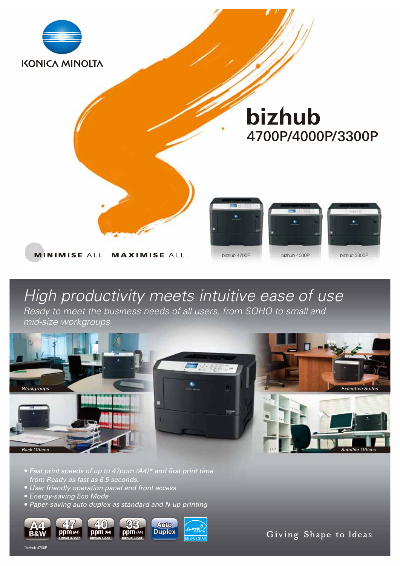

# *High productivity meets intuitive ease of use*

*Ready to meet the business needs of all users, from SOHO to small and mid-size workgroups*



- *Fast print speeds of up to 47ppm (A4)\* and first print time from Ready as fast as 6.5 seconds.*
- *User friendly operation panel and front access* ●
- *Energy-saving Eco Mode* ●

%<br>bizhub 4700F

*Paper-saving auto duplex as standard and N-up printing* ●